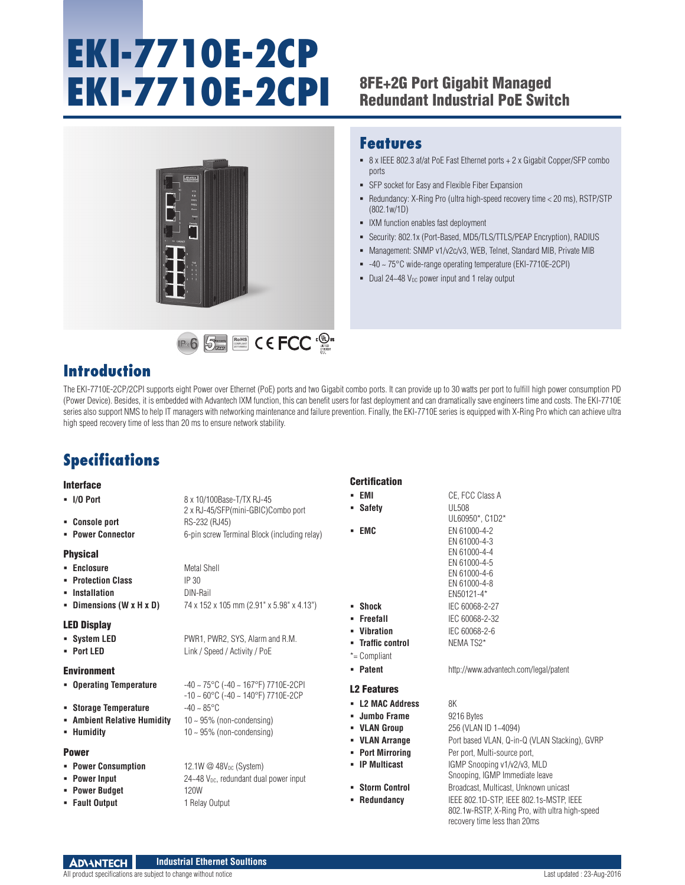# **EKI-7710E-2CP EKI-7710E-2CPI** 8FE+2G Port Gigabit Managed

## Redundant Industrial PoE Switch

SFP socket for Easy and Flexible Fiber Expansion

Dual 24~48  $V_{DC}$  power input and 1 relay output

**IXM** function enables fast deployment

8 x IEEE 802.3 af/at PoE Fast Ethernet ports + 2 x Gigabit Copper/SFP combo

Redundancy: X-Ring Pro (ultra high-speed recovery time < 20 ms), RSTP/STP

 Security: 802.1x (Port-Based, MD5/TLS/TTLS/PEAP Encryption), RADIUS Management: SNMP v1/v2c/v3, WEB, Telnet, Standard MIB, Private MIB -40 ~ 75°C wide-range operating temperature (EKI-7710E-2CPI)

**Features**

(802.1w/1D)

ports





### **Introduction**

The EKI-7710E-2CP/2CPI supports eight Power over Ethernet (PoE) ports and two Gigabit combo ports. It can provide up to 30 watts per port to fulfill high power consumption PD (Power Device). Besides, it is embedded with Advantech IXM function, this can benefit users for fast deployment and can dramatically save engineers time and costs. The EKI-7710E series also support NMS to help IT managers with networking maintenance and failure prevention. Finally, the EKI-7710E series is equipped with X-Ring Pro which can achieve ultra high speed recovery time of less than 20 ms to ensure network stability.

## **Specifications**

#### Interface **I/O Port** 8 x 10/100Base-T/TX RJ-45 2 x RJ-45/SFP(mini-GBIC)Combo port **Console port** RS-232 (RJ45) **Power Connector** 6-pin screw Terminal Block (including relay) Physical **Enclosure Metal Shell Protection Class** IP 30 **Installation** DIN-Rail **Dimensions (W x H x D)** 74 x 152 x 105 mm (2.91" x 5.98" x 4.13") LED Display **System LED** PWR1, PWR2, SYS, Alarm and R.M. **Port LED** Link / Speed / Activity / PoE Environment **Operating Temperature** -40 ~ 75°C (-40 ~ 167°F) 7710E-2CPI -10 ~ 60°C (-40 ~ 140°F) 7710E-2CP **Storage Temperature** -40 ~ 85°C **Ambient Relative Humidity** 10 ~ 95% (non-condensing) **Humidity 10** ~ 95% (non-condensing) Power **Power Consumption 12.1W @ 48V<sub>DC</sub> (System) Power Input 24** 24  $\sim$  24  $\sim$  24  $\sim$  24  $\sim$  24  $\sim$  24  $\sim$  0.000  $\sim$  1000  $\sim$  1000  $\sim$  1000  $\sim$  24  $\sim$  24  $\sim$  24  $\sim$  24  $\sim$  25  $\sim$  0.000  $\sim$  1000  $\sim$  1000  $\sim$  1000  $\sim$  1000  $\sim$  1000  $\sim$  1000  $\sim$  24 **Power Budget** 120W **Fault Output** 1 Relay Output **Certification EMI** CE, FCC Class A **Safety** UL508 UL60950\*, C1D2\* **EMC** EN 61000-4-2 EN 61000-4-3 EN 61000-4-4 EN 61000-4-5 EN 61000-4-6 EN 61000-4-8 EN50121-4\* **Shock** IEC 60068-2-27 **Freefall** IEC 60068-2-32 **Vibration IEC 60068-2-6 Traffic control MEMA TS2\*** \*= Compliant **Patent** http://www.advantech.com/legal/patent L2 Features **L2 MAC Address** 8K **Jumbo Frame** 9216 Bytes **VLAN Group** 256 (VLAN ID 1~4094) **VLAN Arrange** Port based VLAN, Q-in-Q (VLAN Stacking), GVRP **Port Mirroring Per port, Multi-source port, Per port, Multi-source port, IP Multicast** IGMP Snooping v1/v2/v3, MLD Snooping, IGMP Immediate leave **Storm Control Broadcast, Multicast, Unknown unicast Redundancy** IEEE 802.1D-STP, IEEE 802.1s-MSTP, IEEE 802.1w-RSTP, X-Ring Pro, with ultra high-speed recovery time less than 20ms

**ADVANTECH Industrial Ethernet Soultions** All product specifications are subject to change without notice  $\blacksquare$